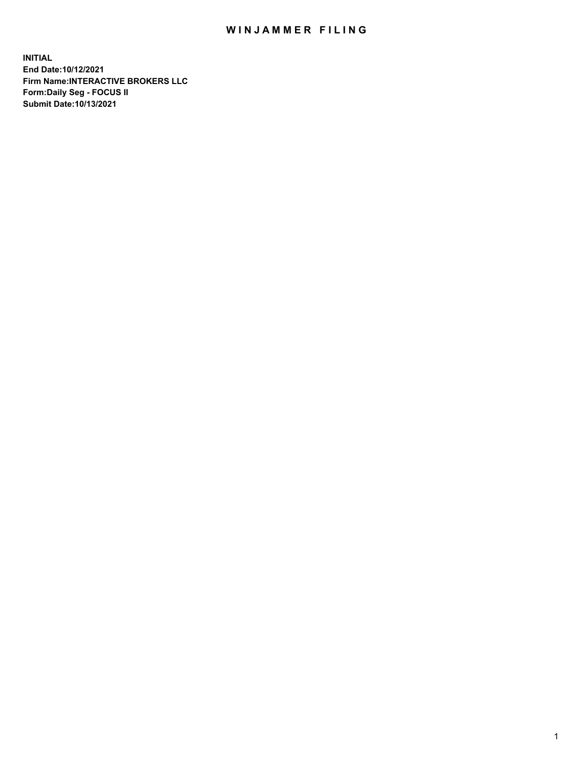## WIN JAMMER FILING

**INITIAL End Date:10/12/2021 Firm Name:INTERACTIVE BROKERS LLC Form:Daily Seg - FOCUS II Submit Date:10/13/2021**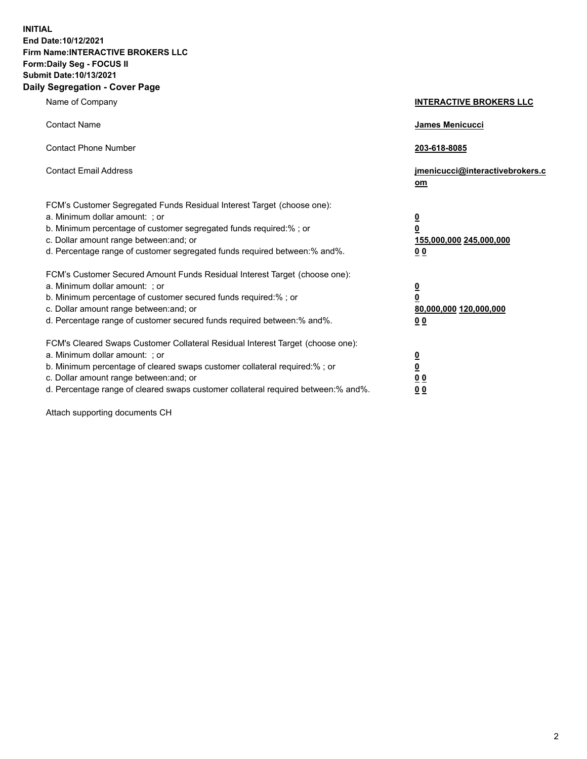**INITIAL End Date:10/12/2021 Firm Name:INTERACTIVE BROKERS LLC Form:Daily Seg - FOCUS II Submit Date:10/13/2021 Daily Segregation - Cover Page**

| Name of Company                                                                                                                                                                                                                                                                                                                | <b>INTERACTIVE BROKERS LLC</b>                                              |
|--------------------------------------------------------------------------------------------------------------------------------------------------------------------------------------------------------------------------------------------------------------------------------------------------------------------------------|-----------------------------------------------------------------------------|
| <b>Contact Name</b>                                                                                                                                                                                                                                                                                                            | James Menicucci                                                             |
| <b>Contact Phone Number</b>                                                                                                                                                                                                                                                                                                    | 203-618-8085                                                                |
| <b>Contact Email Address</b>                                                                                                                                                                                                                                                                                                   | jmenicucci@interactivebrokers.c<br>om                                       |
| FCM's Customer Segregated Funds Residual Interest Target (choose one):<br>a. Minimum dollar amount: ; or<br>b. Minimum percentage of customer segregated funds required:% ; or<br>c. Dollar amount range between: and; or<br>d. Percentage range of customer segregated funds required between:% and%.                         | <u>0</u><br>$\overline{\mathbf{0}}$<br>155,000,000 245,000,000<br><u>00</u> |
| FCM's Customer Secured Amount Funds Residual Interest Target (choose one):<br>a. Minimum dollar amount: : or<br>b. Minimum percentage of customer secured funds required:%; or<br>c. Dollar amount range between: and; or<br>d. Percentage range of customer secured funds required between:% and%.                            | $\frac{0}{0}$<br>80,000,000 120,000,000<br><u>00</u>                        |
| FCM's Cleared Swaps Customer Collateral Residual Interest Target (choose one):<br>a. Minimum dollar amount: ; or<br>b. Minimum percentage of cleared swaps customer collateral required:% ; or<br>c. Dollar amount range between: and; or<br>d. Percentage range of cleared swaps customer collateral required between:% and%. | $\frac{0}{0}$<br>$\underline{0}$ $\underline{0}$<br>0 <sub>0</sub>          |

Attach supporting documents CH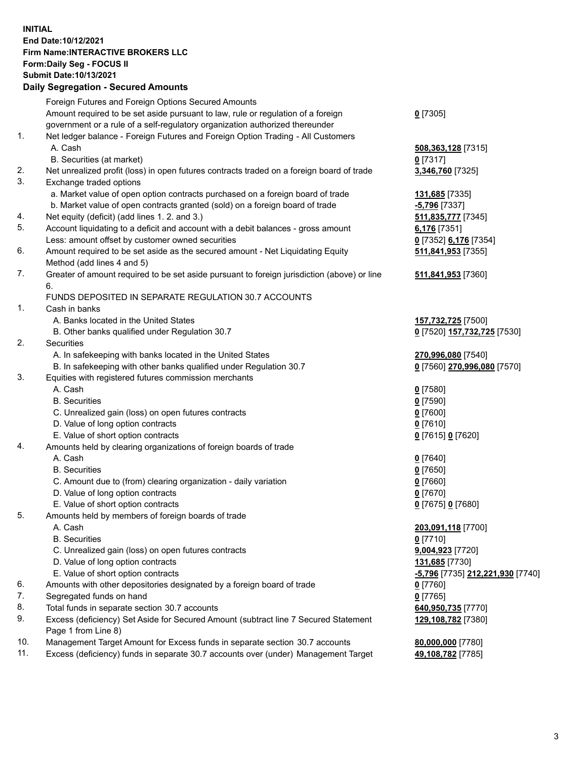## **INITIAL End Date:10/12/2021 Firm Name:INTERACTIVE BROKERS LLC Form:Daily Seg - FOCUS II Submit Date:10/13/2021 Daily Segregation - Secured Amounts**

|     | Daily Segregation - Secured Amounts                                                         |                                               |
|-----|---------------------------------------------------------------------------------------------|-----------------------------------------------|
|     | Foreign Futures and Foreign Options Secured Amounts                                         |                                               |
|     | Amount required to be set aside pursuant to law, rule or regulation of a foreign            | $0$ [7305]                                    |
|     | government or a rule of a self-regulatory organization authorized thereunder                |                                               |
| 1.  | Net ledger balance - Foreign Futures and Foreign Option Trading - All Customers             |                                               |
|     | A. Cash                                                                                     | 508,363,128 [7315]                            |
|     | B. Securities (at market)                                                                   | 0[7317]                                       |
| 2.  | Net unrealized profit (loss) in open futures contracts traded on a foreign board of trade   | 3,346,760 [7325]                              |
| 3.  | Exchange traded options                                                                     |                                               |
|     | a. Market value of open option contracts purchased on a foreign board of trade              | 131,685 [7335]                                |
|     | b. Market value of open contracts granted (sold) on a foreign board of trade                | $-5,796$ [7337]                               |
| 4.  | Net equity (deficit) (add lines 1. 2. and 3.)                                               | 511,835,777 [7345]                            |
| 5.  | Account liquidating to a deficit and account with a debit balances - gross amount           | 6,176 [7351]                                  |
|     | Less: amount offset by customer owned securities                                            | 0 [7352] 6,176 [7354]                         |
| 6.  | Amount required to be set aside as the secured amount - Net Liquidating Equity              | 511,841,953 [7355]                            |
|     | Method (add lines 4 and 5)                                                                  |                                               |
| 7.  | Greater of amount required to be set aside pursuant to foreign jurisdiction (above) or line | 511,841,953 [7360]                            |
|     | 6.                                                                                          |                                               |
|     | FUNDS DEPOSITED IN SEPARATE REGULATION 30.7 ACCOUNTS                                        |                                               |
| 1.  | Cash in banks                                                                               |                                               |
|     | A. Banks located in the United States                                                       | 157,732,725 [7500]                            |
|     | B. Other banks qualified under Regulation 30.7                                              | 0 [7520] 157,732,725 [7530]                   |
| 2.  | Securities                                                                                  |                                               |
|     | A. In safekeeping with banks located in the United States                                   | 270,996,080 [7540]                            |
|     | B. In safekeeping with other banks qualified under Regulation 30.7                          | 0 [7560] 270,996,080 [7570]                   |
| 3.  | Equities with registered futures commission merchants                                       |                                               |
|     | A. Cash                                                                                     | $0$ [7580]                                    |
|     | <b>B.</b> Securities                                                                        | $0$ [7590]                                    |
|     | C. Unrealized gain (loss) on open futures contracts                                         | $0$ [7600]                                    |
|     | D. Value of long option contracts                                                           | $0$ [7610]                                    |
|     | E. Value of short option contracts                                                          | 0 [7615] 0 [7620]                             |
| 4.  | Amounts held by clearing organizations of foreign boards of trade                           |                                               |
|     | A. Cash                                                                                     | $0$ [7640]                                    |
|     | <b>B.</b> Securities                                                                        | $0$ [7650]                                    |
|     | C. Amount due to (from) clearing organization - daily variation                             | $0$ [7660]                                    |
|     | D. Value of long option contracts                                                           | $0$ [7670]                                    |
|     | E. Value of short option contracts                                                          | 0 [7675] 0 [7680]                             |
| 5.  | Amounts held by members of foreign boards of trade                                          |                                               |
|     | A. Cash                                                                                     | 203,091,118 [7700]                            |
|     | <b>B.</b> Securities                                                                        | $0$ [7710]                                    |
|     | C. Unrealized gain (loss) on open futures contracts                                         | 9,004,923 [7720]                              |
|     | D. Value of long option contracts                                                           | <b>131,685</b> [7730]                         |
|     | E. Value of short option contracts                                                          | <mark>-5,796</mark> [7735] 212,221,930 [7740] |
| 6.  | Amounts with other depositories designated by a foreign board of trade                      | 0 [7760]                                      |
| 7.  | Segregated funds on hand                                                                    | $0$ [7765]                                    |
| 8.  | Total funds in separate section 30.7 accounts                                               | 640,950,735 [7770]                            |
| 9.  | Excess (deficiency) Set Aside for Secured Amount (subtract line 7 Secured Statement         | 129,108,782 [7380]                            |
|     | Page 1 from Line 8)                                                                         |                                               |
| 10. | Management Target Amount for Excess funds in separate section 30.7 accounts                 | 80,000,000 [7780]                             |
| 11. | Excess (deficiency) funds in separate 30.7 accounts over (under) Management Target          | 49,108,782 [7785]                             |
|     |                                                                                             |                                               |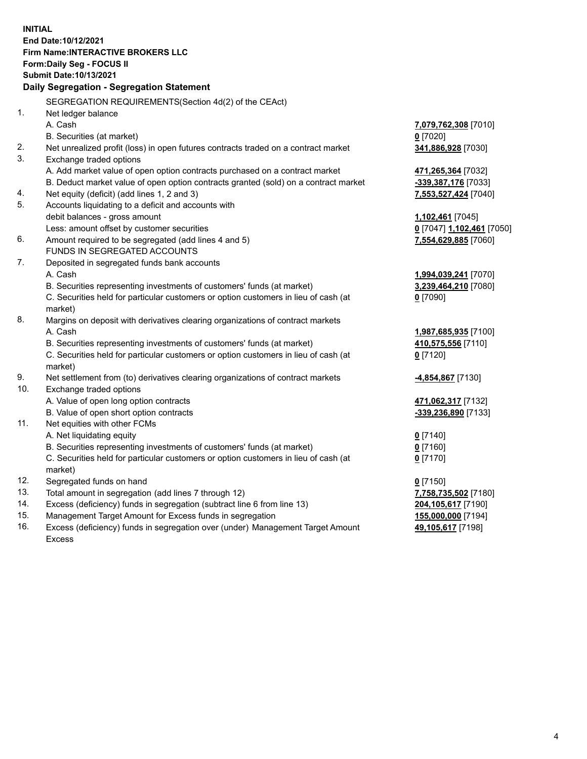**INITIAL End Date:10/12/2021 Firm Name:INTERACTIVE BROKERS LLC Form:Daily Seg - FOCUS II Submit Date:10/13/2021 Daily Segregation - Segregation Statement** SEGREGATION REQUIREMENTS(Section 4d(2) of the CEAct) 1. Net ledger balance A. Cash **7,079,762,308** [7010] B. Securities (at market) **0** [7020] 2. Net unrealized profit (loss) in open futures contracts traded on a contract market **341,886,928** [7030] 3. Exchange traded options A. Add market value of open option contracts purchased on a contract market **471,265,364** [7032] B. Deduct market value of open option contracts granted (sold) on a contract market **-339,387,176** [7033] 4. Net equity (deficit) (add lines 1, 2 and 3) **7,553,527,424** [7040] 5. Accounts liquidating to a deficit and accounts with debit balances - gross amount **1,102,461** [7045] Less: amount offset by customer securities **0** [7047] **1,102,461** [7050] 6. Amount required to be segregated (add lines 4 and 5) **7,554,629,885** [7060] FUNDS IN SEGREGATED ACCOUNTS 7. Deposited in segregated funds bank accounts A. Cash **1,994,039,241** [7070] B. Securities representing investments of customers' funds (at market) **3,239,464,210** [7080] C. Securities held for particular customers or option customers in lieu of cash (at market) **0** [7090] 8. Margins on deposit with derivatives clearing organizations of contract markets A. Cash **1,987,685,935** [7100] B. Securities representing investments of customers' funds (at market) **410,575,556** [7110] C. Securities held for particular customers or option customers in lieu of cash (at market) **0** [7120] 9. Net settlement from (to) derivatives clearing organizations of contract markets **-4,854,867** [7130] 10. Exchange traded options A. Value of open long option contracts **471,062,317** [7132] B. Value of open short option contracts **-339,236,890** [7133] 11. Net equities with other FCMs A. Net liquidating equity **0** [7140] B. Securities representing investments of customers' funds (at market) **0** [7160] C. Securities held for particular customers or option customers in lieu of cash (at market) **0** [7170] 12. Segregated funds on hand **0** [7150] 13. Total amount in segregation (add lines 7 through 12) **7,758,735,502** [7180] 14. Excess (deficiency) funds in segregation (subtract line 6 from line 13) **204,105,617** [7190] 15. Management Target Amount for Excess funds in segregation **155,000,000** [7194] **49,105,617** [7198]

16. Excess (deficiency) funds in segregation over (under) Management Target Amount Excess